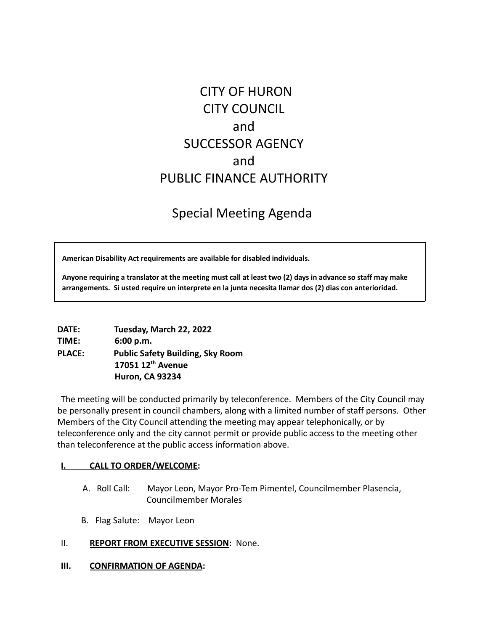# CITY OF HURON CITY COUNCIL and SUCCESSOR AGENCY and PUBLIC FINANCE AUTHORITY

## Special Meeting Agenda

**American Disability Act requirements are available for disabled individuals.**

Anyone requiring a translator at the meeting must call at least two (2) days in advance so staff may make **arrangements. Si usted require un interprete en la junta necesita llamar dos (2) dias con anterioridad.**

| <b>DATE:</b>  | Tuesday, March 22, 2022                 |
|---------------|-----------------------------------------|
| TIME:         | 6:00 p.m.                               |
| <b>PLACE:</b> | <b>Public Safety Building, Sky Room</b> |
|               | 17051 12 <sup>th</sup> Avenue           |
|               | <b>Huron, CA 93234</b>                  |

The meeting will be conducted primarily by teleconference. Members of the City Council may be personally present in council chambers, along with a limited number of staff persons. Other Members of the City Council attending the meeting may appear telephonically, or by teleconference only and the city cannot permit or provide public access to the meeting other than teleconference at the public access information above.

#### **I. CALL TO ORDER/WELCOME:**

- A. Roll Call: Mayor Leon, Mayor Pro-Tem Pimentel, Councilmember Plasencia, Councilmember Morales
- B. Flag Salute: Mayor Leon
- II. **REPORT FROM EXECUTIVE SESSION:** None.
- **III. CONFIRMATION OF AGENDA:**